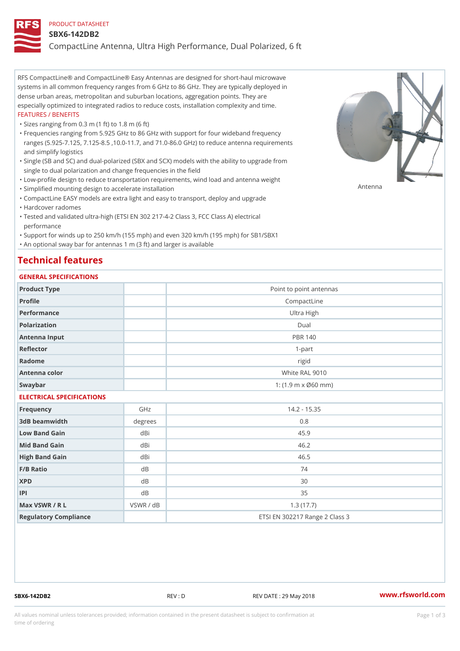#### PRODUCT DATASHEET

#### SBX6-142DB2

CompactLine Antenna, Ultra High Performance, Dual Polarized, 6 ft

RFS CompactLine® and CompactLine® Easy Antennas are designed for short-haul microwave systems in all common frequency ranges from 6 GHz to 86 GHz. They are typically deployed in dense urban areas, metropolitan and suburban locations, aggregation points. They are especially optimized to integrated radios to reduce costs, installation complexity and time. FEATURES / BENEFITS

"Sizes ranging from 0.3 m (1 ft) to 1.8 m (6 ft)

- Frequencies ranging from 5.925 GHz to 86 GHz with support for four wideband frequency " ranges (5.925-7.125, 7.125-8.5 ,10.0-11.7, and 71.0-86.0 GHz) to reduce antenna requirements and simplify logistics
- Single (SB and SC) and dual-polarized (SBX and SCX) models with the ability to upgrade from " single to dual polarization and change frequencies in the field
- "Low-profile design to reduce transportation requirements, wind load and antenna weight
- "Simplified mounting design to accelerate installation

 "CompactLine EASY models are extra light and easy to transport, deploy and upgrade "Hardcover radomes

Tested and validated ultra-high (ETSI EN 302 217-4-2 Class 3, FCC Class A) electrical " performance

 "Support for winds up to 250 km/h (155 mph) and even 320 km/h (195 mph) for SB1/SBX1 "An optional sway bar for antennas 1 m (3 ft) and larger is available

### Technical features

### GENERAL SPECIFICATIONS

| OLIVERAL OF LOTITUATIONS  |           |                                  |
|---------------------------|-----------|----------------------------------|
| Product Type              |           | Point to point antennas          |
| Profile                   |           | CompactLine                      |
| Performance               |           | Ultra High                       |
| Polarization              |           | $D$ ual                          |
| Antenna Input             |           | <b>PBR 140</b>                   |
| Reflector                 |           | $1 - p$ art                      |
| Radome                    |           | rigid                            |
| Antenna color             |           | White RAL 9010                   |
| Swaybar                   |           | 1: $(1.9 \, m \times 060 \, mm)$ |
| ELECTRICAL SPECIFICATIONS |           |                                  |
| Frequency                 | GHz       | $14.2 - 15.35$                   |
| 3dB beamwidth             | degrees   | 0.8                              |
| Low Band Gain             | dBi       | 45.9                             |
| Mid Band Gain             | dBi       | 46.2                             |
| High Band Gain            | dBi       | 46.5                             |
| F/B Ratio                 | d B       | 74                               |
| <b>XPD</b>                | d B       | 30                               |
| P                         | d B       | 35                               |
| Max VSWR / R L            | VSWR / dB | 1.3(17.7)                        |
| Regulatory Compliance     |           | ETSI EN 302217 Range 2 Class 3   |

SBX6-142DB2 REV : D REV DATE : 29 May 2018 [www.](https://www.rfsworld.com)rfsworld.com

Antenna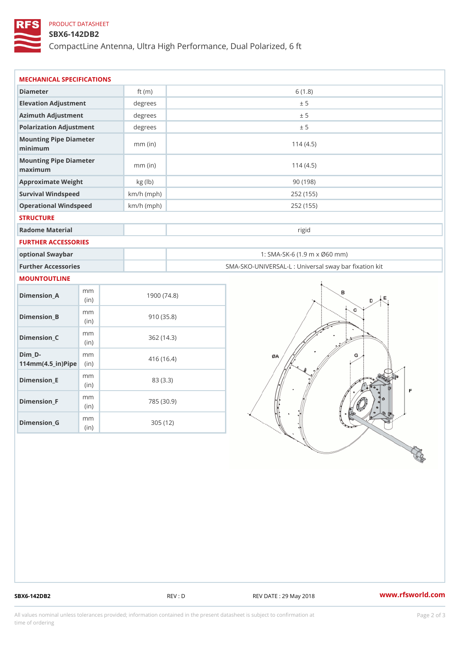## PRODUCT DATASHEET

## SBX6-142DB2

CompactLine Antenna, Ultra High Performance, Dual Polarized, 6 ft

| MECHANICAL SPECIFICATIONS                                                      |              |                                                   |
|--------------------------------------------------------------------------------|--------------|---------------------------------------------------|
| Diameter                                                                       | ft $(m)$     | 6(1.8)                                            |
| Elevation Adjustment                                                           | degrees      | ± 5                                               |
| Azimuth Adjustment                                                             | degrees      | ± 5                                               |
| Polarization Adjustment                                                        | degrees      | ± 5                                               |
| Mounting Pipe Diameter<br>minimum                                              | $mm$ (in)    | 114(4.5)                                          |
| Mounting Pipe Diameter<br>maximum                                              | $mm$ (in)    | 114(4.5)                                          |
| Approximate Weight                                                             | kg (lb)      | 90(198)                                           |
| Survival Windspeed                                                             | $km/h$ (mph) | 252 (155)                                         |
| Operational Windspeed                                                          | $km/h$ (mph) | 252 (155)                                         |
| <b>STRUCTURE</b>                                                               |              |                                                   |
| Radome Material                                                                |              | rigid                                             |
| FURTHER ACCESSORIES                                                            |              |                                                   |
| optional Swaybar                                                               |              | 1: SMA-SK-6 (1.9 m x Ø60 mm)                      |
| Further Accessories                                                            |              | SMA-SKO-UNIVERSAL-L : Universal sway bar fixation |
| MOUNTOUTLINE                                                                   |              |                                                   |
| m m<br>$Dimenision_A$<br>(in)                                                  |              | 1900(74.8)                                        |
| m m<br>$Dimension_B$<br>(in)                                                   |              | 910(35.8)                                         |
| m m<br>$Dimension_C$<br>(in)                                                   |              | 362(14.3)                                         |
| $Dim_D - D -$<br>m m<br>$114$ m m (4.5 _ ir ) $\sqrt{$ ii p $\sqrt{$ $\approx$ |              | 416(16.4)                                         |
| m m<br>$Dimension$ = E<br>(i n)                                                |              | 83 (3.3)                                          |
| m m<br>$Dimension_F$<br>(in)                                                   |              | 785 (30.9)                                        |
| m m<br>$D$ imension $_G$                                                       |              | 305 (12)                                          |

SBX6-142DB2 REV : D REV : D REV DATE : 29 May 2018 WWW.rfsworld.com

All values nominal unless tolerances provided; information contained in the present datasheet is subject to Pcapgelio an atio time of ordering